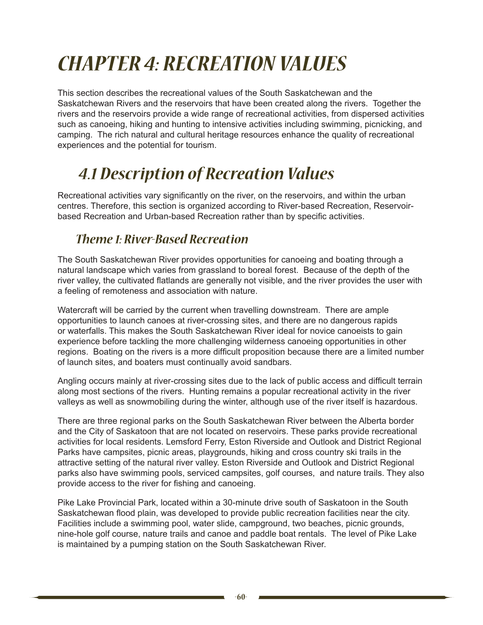# *Chapter 4: Recreation Values*

This section describes the recreational values of the South Saskatchewan and the Saskatchewan Rivers and the reservoirs that have been created along the rivers. Together the rivers and the reservoirs provide a wide range of recreational activities, from dispersed activities such as canoeing, hiking and hunting to intensive activities including swimming, picnicking, and camping. The rich natural and cultural heritage resources enhance the quality of recreational experiences and the potential for tourism.

## *4.1 Description of Recreation Values*

Recreational activities vary significantly on the river, on the reservoirs, and within the urban centres. Therefore, this section is organized according to River-based Recreation, Reservoirbased Recreation and Urban-based Recreation rather than by specific activities.

#### *Theme 1: River-Based Recreation*

The South Saskatchewan River provides opportunities for canoeing and boating through a natural landscape which varies from grassland to boreal forest. Because of the depth of the river valley, the cultivated flatlands are generally not visible, and the river provides the user with a feeling of remoteness and association with nature.

Watercraft will be carried by the current when travelling downstream. There are ample opportunities to launch canoes at river-crossing sites, and there are no dangerous rapids or waterfalls. This makes the South Saskatchewan River ideal for novice canoeists to gain experience before tackling the more challenging wilderness canoeing opportunities in other regions. Boating on the rivers is a more difficult proposition because there are a limited number of launch sites, and boaters must continually avoid sandbars.

Angling occurs mainly at river-crossing sites due to the lack of public access and difficult terrain along most sections of the rivers. Hunting remains a popular recreational activity in the river valleys as well as snowmobiling during the winter, although use of the river itself is hazardous.

There are three regional parks on the South Saskatchewan River between the Alberta border and the City of Saskatoon that are not located on reservoirs. These parks provide recreational activities for local residents. Lemsford Ferry, Eston Riverside and Outlook and District Regional Parks have campsites, picnic areas, playgrounds, hiking and cross country ski trails in the attractive setting of the natural river valley. Eston Riverside and Outlook and District Regional parks also have swimming pools, serviced campsites, golf courses, and nature trails. They also provide access to the river for fishing and canoeing.

Pike Lake Provincial Park, located within a 30-minute drive south of Saskatoon in the South Saskatchewan flood plain, was developed to provide public recreation facilities near the city. Facilities include a swimming pool, water slide, campground, two beaches, picnic grounds, nine-hole golf course, nature trails and canoe and paddle boat rentals. The level of Pike Lake is maintained by a pumping station on the South Saskatchewan River.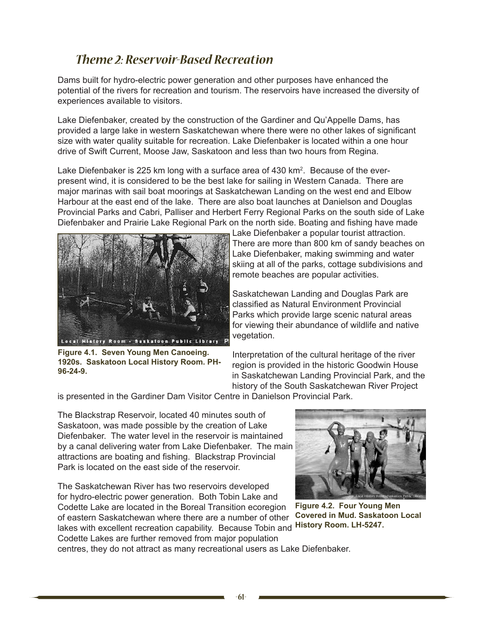### *Theme 2: Reservoir-Based Recreation*

Dams built for hydro-electric power generation and other purposes have enhanced the potential of the rivers for recreation and tourism. The reservoirs have increased the diversity of experiences available to visitors.

Lake Diefenbaker, created by the construction of the Gardiner and Qu'Appelle Dams, has provided a large lake in western Saskatchewan where there were no other lakes of significant size with water quality suitable for recreation. Lake Diefenbaker is located within a one hour drive of Swift Current, Moose Jaw, Saskatoon and less than two hours from Regina.

Lake Diefenbaker is 225 km long with a surface area of 430 km<sup>2</sup>. Because of the everpresent wind, it is considered to be the best lake for sailing in Western Canada. There are major marinas with sail boat moorings at Saskatchewan Landing on the west end and Elbow Harbour at the east end of the lake. There are also boat launches at Danielson and Douglas Provincial Parks and Cabri, Palliser and Herbert Ferry Regional Parks on the south side of Lake Diefenbaker and Prairie Lake Regional Park on the north side. Boating and fishing have made



**Figure 4.1. Seven Young Men Canoeing. 1920s. Saskatoon Local History Room. PH-96-24-9.**

Lake Diefenbaker a popular tourist attraction. There are more than 800 km of sandy beaches on Lake Diefenbaker, making swimming and water skiing at all of the parks, cottage subdivisions and remote beaches are popular activities.

Saskatchewan Landing and Douglas Park are classified as Natural Environment Provincial Parks which provide large scenic natural areas for viewing their abundance of wildlife and native vegetation.

Interpretation of the cultural heritage of the river region is provided in the historic Goodwin House in Saskatchewan Landing Provincial Park, and the history of the South Saskatchewan River Project

is presented in the Gardiner Dam Visitor Centre in Danielson Provincial Park.

The Blackstrap Reservoir, located 40 minutes south of Saskatoon, was made possible by the creation of Lake Diefenbaker. The water level in the reservoir is maintained by a canal delivering water from Lake Diefenbaker. The main attractions are boating and fishing. Blackstrap Provincial Park is located on the east side of the reservoir.

The Saskatchewan River has two reservoirs developed for hydro-electric power generation. Both Tobin Lake and Codette Lake are located in the Boreal Transition ecoregion of eastern Saskatchewan where there are a number of other lakes with excellent recreation capability. Because Tobin and

Codette Lakes are further removed from major population



**Figure 4.2. Four Young Men Covered in Mud. Saskatoon Local History Room. LH-5247.**

centres, they do not attract as many recreational users as Lake Diefenbaker.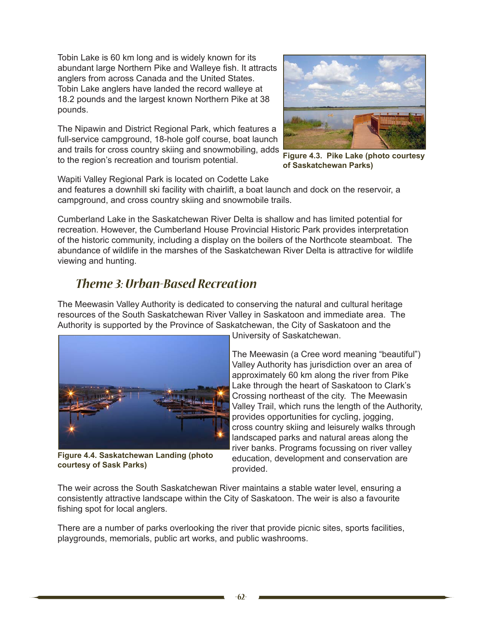Tobin Lake is 60 km long and is widely known for its abundant large Northern Pike and Walleye fish. It attracts anglers from across Canada and the United States. Tobin Lake anglers have landed the record walleye at 18.2 pounds and the largest known Northern Pike at 38 pounds.

The Nipawin and District Regional Park, which features a full-service campground, 18-hole golf course, boat launch and trails for cross country skiing and snowmobiling, adds to the region's recreation and tourism potential.



**Figure 4.3. Pike Lake (photo courtesy of Saskatchewan Parks)**

Wapiti Valley Regional Park is located on Codette Lake

and features a downhill ski facility with chairlift, a boat launch and dock on the reservoir, a campground, and cross country skiing and snowmobile trails.

Cumberland Lake in the Saskatchewan River Delta is shallow and has limited potential for recreation. However, the Cumberland House Provincial Historic Park provides interpretation of the historic community, including a display on the boilers of the Northcote steamboat. The abundance of wildlife in the marshes of the Saskatchewan River Delta is attractive for wildlife viewing and hunting.

### *Theme 3: Urban-Based Recreation*

The Meewasin Valley Authority is dedicated to conserving the natural and cultural heritage resources of the South Saskatchewan River Valley in Saskatoon and immediate area. The Authority is supported by the Province of Saskatchewan, the City of Saskatoon and the



**Figure 4.4. Saskatchewan Landing (photo courtesy of Sask Parks)**

University of Saskatchewan.

The Meewasin (a Cree word meaning "beautiful") Valley Authority has jurisdiction over an area of approximately 60 km along the river from Pike Lake through the heart of Saskatoon to Clark's Crossing northeast of the city. The Meewasin Valley Trail, which runs the length of the Authority, provides opportunities for cycling, jogging, cross country skiing and leisurely walks through landscaped parks and natural areas along the river banks. Programs focussing on river valley education, development and conservation are provided.

The weir across the South Saskatchewan River maintains a stable water level, ensuring a consistently attractive landscape within the City of Saskatoon. The weir is also a favourite fishing spot for local anglers.

There are a number of parks overlooking the river that provide picnic sites, sports facilities, playgrounds, memorials, public art works, and public washrooms.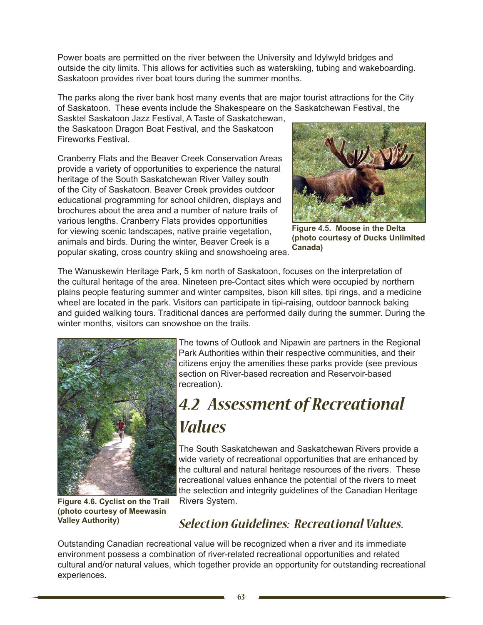Power boats are permitted on the river between the University and Idylwyld bridges and outside the city limits. This allows for activities such as waterskiing, tubing and wakeboarding. Saskatoon provides river boat tours during the summer months.

The parks along the river bank host many events that are major tourist attractions for the City of Saskatoon. These events include the Shakespeare on the Saskatchewan Festival, the

Sasktel Saskatoon Jazz Festival, A Taste of Saskatchewan, the Saskatoon Dragon Boat Festival, and the Saskatoon Fireworks Festival.

Cranberry Flats and the Beaver Creek Conservation Areas provide a variety of opportunities to experience the natural heritage of the South Saskatchewan River Valley south of the City of Saskatoon. Beaver Creek provides outdoor educational programming for school children, displays and brochures about the area and a number of nature trails of various lengths. Cranberry Flats provides opportunities for viewing scenic landscapes, native prairie vegetation, animals and birds. During the winter, Beaver Creek is a popular skating, cross country skiing and snowshoeing area.



**Figure 4.5. Moose in the Delta (photo courtesy of Ducks Unlimited Canada)**

The Wanuskewin Heritage Park, 5 km north of Saskatoon, focuses on the interpretation of the cultural heritage of the area. Nineteen pre-Contact sites which were occupied by northern plains people featuring summer and winter campsites, bison kill sites, tipi rings, and a medicine wheel are located in the park. Visitors can participate in tipi-raising, outdoor bannock baking and guided walking tours. Traditional dances are performed daily during the summer. During the winter months, visitors can snowshoe on the trails.



The towns of Outlook and Nipawin are partners in the Regional Park Authorities within their respective communities, and their citizens enjoy the amenities these parks provide (see previous section on River-based recreation and Reservoir-based recreation).

## *4.2 Assessment of Recreational Values*

The South Saskatchewan and Saskatchewan Rivers provide a wide variety of recreational opportunities that are enhanced by the cultural and natural heritage resources of the rivers. These recreational values enhance the potential of the rivers to meet the selection and integrity guidelines of the Canadian Heritage Rivers System.

**Figure 4.6. Cyclist on the Trail (photo courtesy of Meewasin Valley Authority)**

### *Selection Guidelines: Recreational Values.*

Outstanding Canadian recreational value will be recognized when a river and its immediate environment possess a combination of river-related recreational opportunities and related cultural and/or natural values, which together provide an opportunity for outstanding recreational experiences.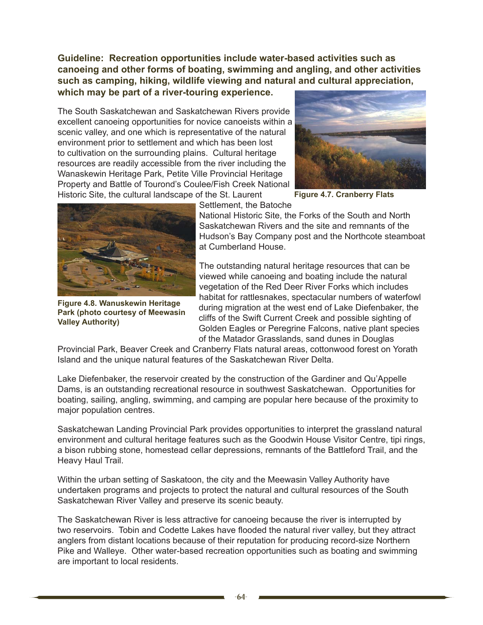**Guideline: Recreation opportunities include water-based activities such as canoeing and other forms of boating, swimming and angling, and other activities such as camping, hiking, wildlife viewing and natural and cultural appreciation, which may be part of a river-touring experience.**

The South Saskatchewan and Saskatchewan Rivers provide excellent canoeing opportunities for novice canoeists within a scenic valley, and one which is representative of the natural environment prior to settlement and which has been lost to cultivation on the surrounding plains. Cultural heritage resources are readily accessible from the river including the Wanaskewin Heritage Park, Petite Ville Provincial Heritage Property and Battle of Tourond's Coulee/Fish Creek National Historic Site, the cultural landscape of the St. Laurent



**Figure 4.7. Cranberry Flats**



**Figure 4.8. Wanuskewin Heritage Park (photo courtesy of Meewasin Valley Authority)**

Settlement, the Batoche

National Historic Site, the Forks of the South and North Saskatchewan Rivers and the site and remnants of the Hudson's Bay Company post and the Northcote steamboat at Cumberland House.

The outstanding natural heritage resources that can be viewed while canoeing and boating include the natural vegetation of the Red Deer River Forks which includes habitat for rattlesnakes, spectacular numbers of waterfowl during migration at the west end of Lake Diefenbaker, the cliffs of the Swift Current Creek and possible sighting of Golden Eagles or Peregrine Falcons, native plant species of the Matador Grasslands, sand dunes in Douglas

Provincial Park, Beaver Creek and Cranberry Flats natural areas, cottonwood forest on Yorath Island and the unique natural features of the Saskatchewan River Delta.

Lake Diefenbaker, the reservoir created by the construction of the Gardiner and Qu'Appelle Dams, is an outstanding recreational resource in southwest Saskatchewan. Opportunities for boating, sailing, angling, swimming, and camping are popular here because of the proximity to major population centres.

Saskatchewan Landing Provincial Park provides opportunities to interpret the grassland natural environment and cultural heritage features such as the Goodwin House Visitor Centre, tipi rings, a bison rubbing stone, homestead cellar depressions, remnants of the Battleford Trail, and the Heavy Haul Trail.

Within the urban setting of Saskatoon, the city and the Meewasin Valley Authority have undertaken programs and projects to protect the natural and cultural resources of the South Saskatchewan River Valley and preserve its scenic beauty.

The Saskatchewan River is less attractive for canoeing because the river is interrupted by two reservoirs. Tobin and Codette Lakes have flooded the natural river valley, but they attract anglers from distant locations because of their reputation for producing record-size Northern Pike and Walleye. Other water-based recreation opportunities such as boating and swimming are important to local residents.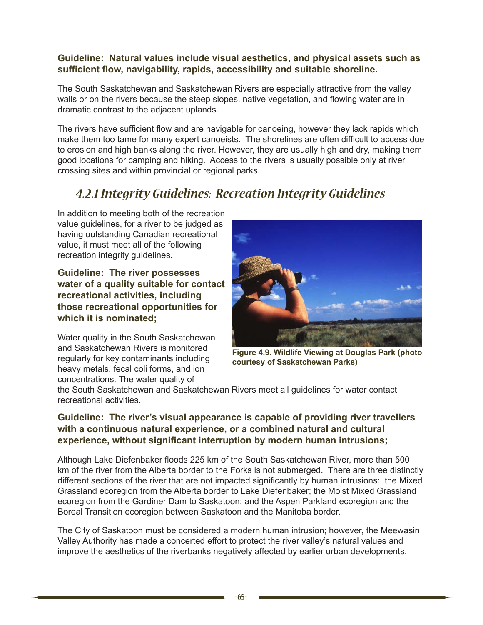#### **Guideline: Natural values include visual aesthetics, and physical assets such as sufficient flow, navigability, rapids, accessibility and suitable shoreline.**

The South Saskatchewan and Saskatchewan Rivers are especially attractive from the valley walls or on the rivers because the steep slopes, native vegetation, and flowing water are in dramatic contrast to the adjacent uplands.

The rivers have sufficient flow and are navigable for canoeing, however they lack rapids which make them too tame for many expert canoeists. The shorelines are often difficult to access due to erosion and high banks along the river. However, they are usually high and dry, making them good locations for camping and hiking. Access to the rivers is usually possible only at river crossing sites and within provincial or regional parks.

#### *4.2.1 Integrity Guidelines: Recreation Integrity Guidelines*

In addition to meeting both of the recreation value guidelines, for a river to be judged as having outstanding Canadian recreational value, it must meet all of the following recreation integrity guidelines.

**Guideline: The river possesses water of a quality suitable for contact recreational activities, including those recreational opportunities for which it is nominated;**

Water quality in the South Saskatchewan and Saskatchewan Rivers is monitored regularly for key contaminants including heavy metals, fecal coli forms, and ion concentrations. The water quality of



**Figure 4.9. Wildlife Viewing at Douglas Park (photo courtesy of Saskatchewan Parks)**

the South Saskatchewan and Saskatchewan Rivers meet all guidelines for water contact recreational activities.

#### **Guideline: The river's visual appearance is capable of providing river travellers with a continuous natural experience, or a combined natural and cultural experience, without significant interruption by modern human intrusions;**

Although Lake Diefenbaker floods 225 km of the South Saskatchewan River, more than 500 km of the river from the Alberta border to the Forks is not submerged. There are three distinctly different sections of the river that are not impacted significantly by human intrusions: the Mixed Grassland ecoregion from the Alberta border to Lake Diefenbaker; the Moist Mixed Grassland ecoregion from the Gardiner Dam to Saskatoon; and the Aspen Parkland ecoregion and the Boreal Transition ecoregion between Saskatoon and the Manitoba border.

The City of Saskatoon must be considered a modern human intrusion; however, the Meewasin Valley Authority has made a concerted effort to protect the river valley's natural values and improve the aesthetics of the riverbanks negatively affected by earlier urban developments.